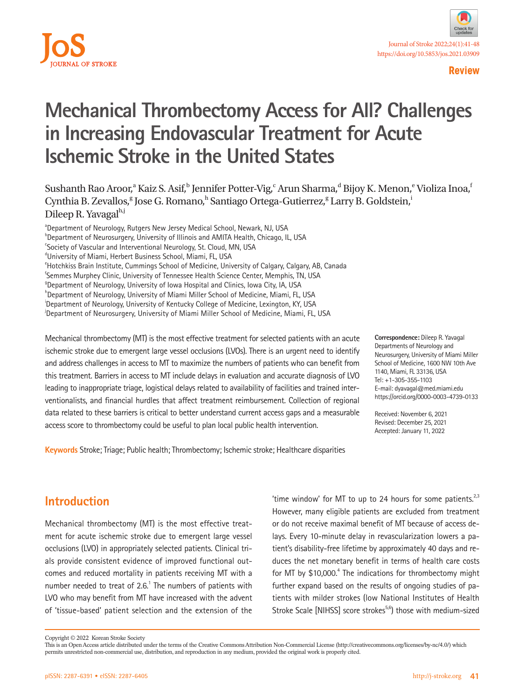



# **Mechanical Thrombectomy Access for All? Challenges in Increasing Endovascular Treatment for Acute Ischemic Stroke in the United States**

Sushanth Rao Aroor,<sup>a</sup> Kaiz S. Asif,<sup>b</sup> Jennifer Potter-Vig,<sup>c</sup> Arun Sharma,<sup>d</sup> Bijoy K. Menon,<sup>e</sup> Violiza Inoa,<sup>†</sup> Cynthia B. Zevallos,<sup>g</sup> Jose G. Romano,<sup>h</sup> Santiago Ortega-Gutierrez,<sup>g</sup> Larry B. Goldstein, Dileep R. Yavagal<sup>h,j</sup>

<sup>a</sup>Department of Neurology, Rutgers New Jersey Medical School, Newark, NJ, USA **Department of Neurosurgery, University of Illinois and AMITA Health, Chicago, IL, USA** <sup>c</sup>Society of Vascular and Interventional Neurology, St. Cloud, MN, USA dUniversity of Miami, Herbert Business School, Miami, FL, USA <sup>e</sup>Hotchkiss Brain Institute, Cummings School of Medicine, University of Calgary, Calgary, AB, Canada f Semmes Murphey Clinic, University of Tennessee Health Science Center, Memphis, TN, USA <sup>9</sup>Department of Neurology, University of Iowa Hospital and Clinics, Iowa City, IA, USA h Department of Neurology, University of Miami Miller School of Medicine, Miami, FL, USA i Department of Neurology, University of Kentucky College of Medicine, Lexington, KY, USA j Department of Neurosurgery, University of Miami Miller School of Medicine, Miami, FL, USA

Mechanical thrombectomy (MT) is the most effective treatment for selected patients with an acute ischemic stroke due to emergent large vessel occlusions (LVOs). There is an urgent need to identify and address challenges in access to MT to maximize the numbers of patients who can benefit from this treatment. Barriers in access to MT include delays in evaluation and accurate diagnosis of LVO leading to inappropriate triage, logistical delays related to availability of facilities and trained interventionalists, and financial hurdles that affect treatment reimbursement. Collection of regional data related to these barriers is critical to better understand current access gaps and a measurable access score to thrombectomy could be useful to plan local public health intervention.

**Correspondence:** Dileep R. Yavagal Departments of Neurology and Neurosurgery, University of Miami Miller School of Medicine, 1600 NW 10th Ave 1140, Miami, FL 33136, USA Tel: +1-305-355-1103 E-mail: [dyavagal@med.miami.edu](mailto:dyavagal@med.miami.edu) https://orcid.org/0000-0003-4739-0133

Received: November 6, 2021 Revised: December 25, 2021 Accepted: January 11, 2022

**Keywords** Stroke; Triage; Public health; Thrombectomy; Ischemic stroke; Healthcare disparities

### **Introduction**

Mechanical thrombectomy (MT) is the most effective treatment for acute ischemic stroke due to emergent large vessel occlusions (LVO) in appropriately selected patients. Clinical trials provide consistent evidence of improved functional outcomes and reduced mortality in patients receiving MT with a number needed to treat of  $2.6$ .<sup>1</sup> The numbers of patients with LVO who may benefit from MT have increased with the advent of 'tissue-based' patient selection and the extension of the

'time window' for MT to up to 24 hours for some patients. $2.3$ However, many eligible patients are excluded from treatment or do not receive maximal benefit of MT because of access delays. Every 10-minute delay in revascularization lowers a patient's disability-free lifetime by approximately 40 days and reduces the net monetary benefit in terms of health care costs for MT by \$10,000.<sup>4</sup> The indications for thrombectomy might further expand based on the results of ongoing studies of patients with milder strokes (low National Institutes of Health Stroke Scale [NIHSS] score strokes<sup>5,6</sup>) those with medium-sized

Copyright © 2022 Korean Stroke Society

This is an Open Access article distributed under the terms of the Creative Commons Attribution Non-Commercial License (http://creativecommons.org/licenses/by-nc/4.0/) which permits unrestricted non-commercial use, distribution, and reproduction in any medium, provided the original work is properly cited.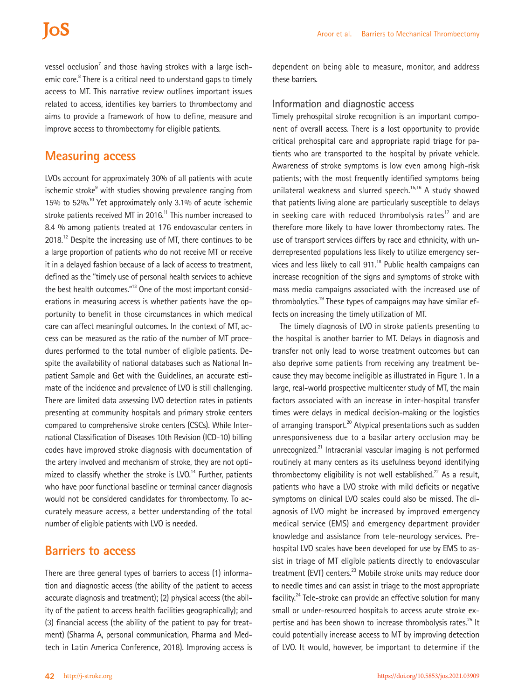vessel occlusion<sup>7</sup> and those having strokes with a large ischemic core.<sup>8</sup> There is a critical need to understand gaps to timely access to MT. This narrative review outlines important issues related to access, identifies key barriers to thrombectomy and aims to provide a framework of how to define, measure and improve access to thrombectomy for eligible patients.

## **Measuring access**

LVOs account for approximately 30% of all patients with acute ischemic stroke<sup>9</sup> with studies showing prevalence ranging from 15% to 52%.<sup>10</sup> Yet approximately only 3.1% of acute ischemic stroke patients received MT in  $2016$ .<sup>11</sup> This number increased to 8.4 % among patients treated at 176 endovascular centers in 2018.<sup>12</sup> Despite the increasing use of MT, there continues to be a large proportion of patients who do not receive MT or receive it in a delayed fashion because of a lack of access to treatment, defined as the "timely use of personal health services to achieve the best health outcomes."<sup>13</sup> One of the most important considerations in measuring access is whether patients have the opportunity to benefit in those circumstances in which medical care can affect meaningful outcomes. In the context of MT, access can be measured as the ratio of the number of MT procedures performed to the total number of eligible patients. Despite the availability of national databases such as National Inpatient Sample and Get with the Guidelines, an accurate estimate of the incidence and prevalence of LVO is still challenging. There are limited data assessing LVO detection rates in patients presenting at community hospitals and primary stroke centers compared to comprehensive stroke centers (CSCs). While International Classification of Diseases 10th Revision (ICD-10) billing codes have improved stroke diagnosis with documentation of the artery involved and mechanism of stroke, they are not optimized to classify whether the stroke is  $LVO$ .<sup>14</sup> Further, patients who have poor functional baseline or terminal cancer diagnosis would not be considered candidates for thrombectomy. To accurately measure access, a better understanding of the total number of eligible patients with LVO is needed.

### **Barriers to access**

There are three general types of barriers to access (1) information and diagnostic access (the ability of the patient to access accurate diagnosis and treatment); (2) physical access (the ability of the patient to access health facilities geographically); and (3) financial access (the ability of the patient to pay for treatment) (Sharma A, personal communication, Pharma and Medtech in Latin America Conference, 2018). Improving access is

dependent on being able to measure, monitor, and address these barriers.

#### **Information and diagnostic access**

Timely prehospital stroke recognition is an important component of overall access. There is a lost opportunity to provide critical prehospital care and appropriate rapid triage for patients who are transported to the hospital by private vehicle. Awareness of stroke symptoms is low even among high-risk patients; with the most frequently identified symptoms being unilateral weakness and slurred speech.<sup>15,16</sup> A study showed that patients living alone are particularly susceptible to delays in seeking care with reduced thrombolysis rates<sup>17</sup> and are therefore more likely to have lower thrombectomy rates. The use of transport services differs by race and ethnicity, with underrepresented populations less likely to utilize emergency services and less likely to call 911.<sup>18</sup> Public health campaigns can increase recognition of the signs and symptoms of stroke with mass media campaigns associated with the increased use of thrombolytics.<sup>19</sup> These types of campaigns may have similar effects on increasing the timely utilization of MT.

The timely diagnosis of LVO in stroke patients presenting to the hospital is another barrier to MT. Delays in diagnosis and transfer not only lead to worse treatment outcomes but can also deprive some patients from receiving any treatment because they may become ineligible as illustrated in Figure 1. In a large, real-world prospective multicenter study of MT, the main factors associated with an increase in inter-hospital transfer times were delays in medical decision-making or the logistics of arranging transport.<sup>20</sup> Atypical presentations such as sudden unresponsiveness due to a basilar artery occlusion may be unrecognized.<sup>21</sup> Intracranial vascular imaging is not performed routinely at many centers as its usefulness beyond identifying thrombectomy eligibility is not well established.<sup>22</sup> As a result, patients who have a LVO stroke with mild deficits or negative symptoms on clinical LVO scales could also be missed. The diagnosis of LVO might be increased by improved emergency medical service (EMS) and emergency department provider knowledge and assistance from tele-neurology services. Prehospital LVO scales have been developed for use by EMS to assist in triage of MT eligible patients directly to endovascular treatment (EVT) centers.<sup>23</sup> Mobile stroke units may reduce door to needle times and can assist in triage to the most appropriate facility.<sup>24</sup> Tele-stroke can provide an effective solution for many small or under-resourced hospitals to access acute stroke expertise and has been shown to increase thrombolysis rates.<sup>25</sup> It could potentially increase access to MT by improving detection of LVO. It would, however, be important to determine if the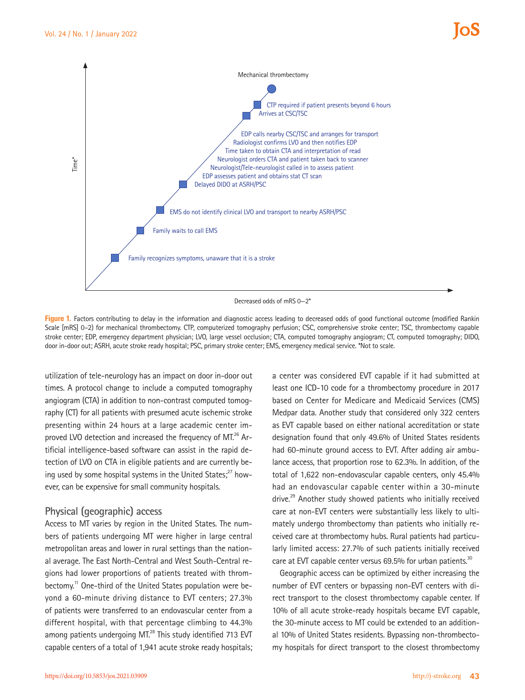

Figure 1. Factors contributing to delay in the information and diagnostic access leading to decreased odds of good functional outcome (modified Rankin Scale [mRS] 0–2) for mechanical thrombectomy. CTP, computerized tomography perfusion; CSC, comprehensive stroke center; TSC, thrombectomy capable stroke center; EDP, emergency department physician; LVO, large vessel occlusion; CTA, computed tomography angiogram; CT, computed tomography; DIDO, door in-door out; ASRH, acute stroke ready hospital; PSC, primary stroke center; EMS, emergency medical service. \*Not to scale.

utilization of tele-neurology has an impact on door in-door out times. A protocol change to include a computed tomography angiogram (CTA) in addition to non-contrast computed tomography (CT) for all patients with presumed acute ischemic stroke presenting within 24 hours at a large academic center improved LVO detection and increased the frequency of MT.<sup>26</sup> Artificial intelligence-based software can assist in the rapid detection of LVO on CTA in eligible patients and are currently being used by some hospital systems in the United States; $^{27}$  however, can be expensive for small community hospitals.

#### **Physical (geographic) access**

Access to MT varies by region in the United States. The numbers of patients undergoing MT were higher in large central metropolitan areas and lower in rural settings than the national average. The East North-Central and West South-Central regions had lower proportions of patients treated with thrombectomy.<sup>11</sup> One-third of the United States population were beyond a 60-minute driving distance to EVT centers; 27.3% of patients were transferred to an endovascular center from a different hospital, with that percentage climbing to 44.3% among patients undergoing MT.<sup>28</sup> This study identified 713 EVT capable centers of a total of 1,941 acute stroke ready hospitals; a center was considered EVT capable if it had submitted at least one ICD-10 code for a thrombectomy procedure in 2017 based on Center for Medicare and Medicaid Services (CMS) Medpar data. Another study that considered only 322 centers as EVT capable based on either national accreditation or state designation found that only 49.6% of United States residents had 60-minute ground access to EVT. After adding air ambulance access, that proportion rose to 62.3%. In addition, of the total of 1,622 non-endovascular capable centers, only 45.4% had an endovascular capable center within a 30-minute drive.<sup>29</sup> Another study showed patients who initially received care at non-EVT centers were substantially less likely to ultimately undergo thrombectomy than patients who initially received care at thrombectomy hubs. Rural patients had particularly limited access: 27.7% of such patients initially received care at EVT capable center versus 69.5% for urban patients.<sup>30</sup>

Geographic access can be optimized by either increasing the number of EVT centers or bypassing non-EVT centers with direct transport to the closest thrombectomy capable center. If 10% of all acute stroke-ready hospitals became EVT capable, the 30-minute access to MT could be extended to an additional 10% of United States residents. Bypassing non-thrombectomy hospitals for direct transport to the closest thrombectomy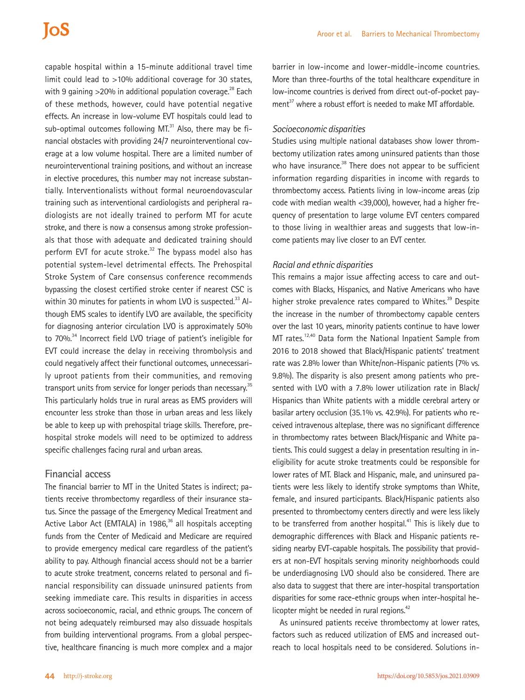capable hospital within a 15-minute additional travel time limit could lead to >10% additional coverage for 30 states, with 9 gaining  $>$ 20% in additional population coverage.<sup>28</sup> Each of these methods, however, could have potential negative effects. An increase in low-volume EVT hospitals could lead to sub-optimal outcomes following  $MT^{31}$  Also, there may be financial obstacles with providing 24/7 neurointerventional coverage at a low volume hospital. There are a limited number of neurointerventional training positions, and without an increase in elective procedures, this number may not increase substantially. Interventionalists without formal neuroendovascular training such as interventional cardiologists and peripheral radiologists are not ideally trained to perform MT for acute stroke, and there is now a consensus among stroke professionals that those with adequate and dedicated training should perform EVT for acute stroke. $32$  The bypass model also has potential system-level detrimental effects. The Prehospital Stroke System of Care consensus conference recommends bypassing the closest certified stroke center if nearest CSC is within 30 minutes for patients in whom LVO is suspected.<sup>33</sup> Although EMS scales to identify LVO are available, the specificity for diagnosing anterior circulation LVO is approximately 50% to 70%.<sup>34</sup> Incorrect field LVO triage of patient's ineligible for EVT could increase the delay in receiving thrombolysis and could negatively affect their functional outcomes, unnecessarily uproot patients from their communities, and removing transport units from service for longer periods than necessary.<sup>35</sup> This particularly holds true in rural areas as EMS providers will encounter less stroke than those in urban areas and less likely be able to keep up with prehospital triage skills. Therefore, prehospital stroke models will need to be optimized to address specific challenges facing rural and urban areas.

#### **Financial access**

The financial barrier to MT in the United States is indirect; patients receive thrombectomy regardless of their insurance status. Since the passage of the Emergency Medical Treatment and Active Labor Act (EMTALA) in 1986,<sup>36</sup> all hospitals accepting funds from the Center of Medicaid and Medicare are required to provide emergency medical care regardless of the patient's ability to pay. Although financial access should not be a barrier to acute stroke treatment, concerns related to personal and financial responsibility can dissuade uninsured patients from seeking immediate care. This results in disparities in access across socioeconomic, racial, and ethnic groups. The concern of not being adequately reimbursed may also dissuade hospitals from building interventional programs. From a global perspective, healthcare financing is much more complex and a major

barrier in low-income and lower-middle-income countries. More than three-fourths of the total healthcare expenditure in low-income countries is derived from direct out-of-pocket payment $^{37}$  where a robust effort is needed to make MT affordable.

#### *Socioeconomic disparities*

Studies using multiple national databases show lower thrombectomy utilization rates among uninsured patients than those who have insurance. $38$  There does not appear to be sufficient information regarding disparities in income with regards to thrombectomy access. Patients living in low-income areas (zip code with median wealth <39,000), however, had a higher frequency of presentation to large volume EVT centers compared to those living in wealthier areas and suggests that low-income patients may live closer to an EVT center.

#### *Racial and ethnic disparities*

This remains a major issue affecting access to care and outcomes with Blacks, Hispanics, and Native Americans who have higher stroke prevalence rates compared to Whites.<sup>39</sup> Despite the increase in the number of thrombectomy capable centers over the last 10 years, minority patients continue to have lower MT rates.<sup>12,40</sup> Data form the National Inpatient Sample from 2016 to 2018 showed that Black/Hispanic patients' treatment rate was 2.8% lower than White/non-Hispanic patients (7% vs. 9.8%). The disparity is also present among patients who presented with LVO with a 7.8% lower utilization rate in Black/ Hispanics than White patients with a middle cerebral artery or basilar artery occlusion (35.1% vs. 42.9%). For patients who received intravenous alteplase, there was no significant difference in thrombectomy rates between Black/Hispanic and White patients. This could suggest a delay in presentation resulting in ineligibility for acute stroke treatments could be responsible for lower rates of MT. Black and Hispanic, male, and uninsured patients were less likely to identify stroke symptoms than White, female, and insured participants. Black/Hispanic patients also presented to thrombectomy centers directly and were less likely to be transferred from another hospital.<sup>41</sup> This is likely due to demographic differences with Black and Hispanic patients residing nearby EVT-capable hospitals. The possibility that providers at non-EVT hospitals serving minority neighborhoods could be underdiagnosing LVO should also be considered. There are also data to suggest that there are inter-hospital transportation disparities for some race-ethnic groups when inter-hospital helicopter might be needed in rural regions.<sup>42</sup>

As uninsured patients receive thrombectomy at lower rates, factors such as reduced utilization of EMS and increased outreach to local hospitals need to be considered. Solutions in-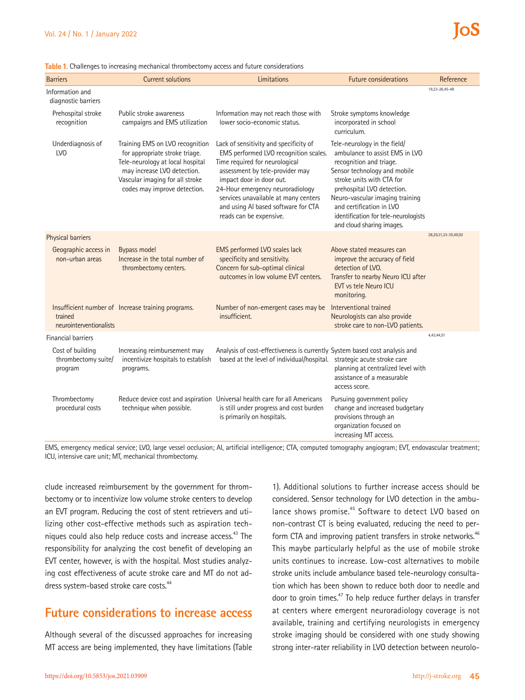|  |  | Table 1. Challenges to increasing mechanical thrombectomy access and future considerations |  |  |
|--|--|--------------------------------------------------------------------------------------------|--|--|
|  |  |                                                                                            |  |  |

| <b>Barriers</b>                                    | <b>Current solutions</b>                                                                                                                                                                                | Limitations                                                                                                                                                                                                                                                                                                                    | <b>Future considerations</b>                                                                                                                                                                                                                                                                                             | Reference            |
|----------------------------------------------------|---------------------------------------------------------------------------------------------------------------------------------------------------------------------------------------------------------|--------------------------------------------------------------------------------------------------------------------------------------------------------------------------------------------------------------------------------------------------------------------------------------------------------------------------------|--------------------------------------------------------------------------------------------------------------------------------------------------------------------------------------------------------------------------------------------------------------------------------------------------------------------------|----------------------|
| Information and<br>diagnostic barriers             |                                                                                                                                                                                                         |                                                                                                                                                                                                                                                                                                                                |                                                                                                                                                                                                                                                                                                                          | 19,23-26,45-48       |
| Prehospital stroke<br>recognition                  | Public stroke awareness<br>campaigns and EMS utilization                                                                                                                                                | Information may not reach those with<br>lower socio-economic status.                                                                                                                                                                                                                                                           | Stroke symptoms knowledge<br>incorporated in school<br>curriculum.                                                                                                                                                                                                                                                       |                      |
| Underdiagnosis of<br>LV <sub>0</sub>               | Training EMS on LVO recognition<br>for appropriate stroke triage.<br>Tele-neurology at local hospital<br>may increase LVO detection.<br>Vascular imaging for all stroke<br>codes may improve detection. | Lack of sensitivity and specificity of<br>EMS performed LVO recognition scales.<br>Time required for neurological<br>assessment by tele-provider may<br>impact door in door out.<br>24-Hour emergency neuroradiology<br>services unavailable at many centers<br>and using AI based software for CTA<br>reads can be expensive. | Tele-neurology in the field/<br>ambulance to assist EMS in LVO<br>recognition and triage.<br>Sensor technology and mobile<br>stroke units with CTA for<br>prehospital LVO detection.<br>Neuro-vascular imaging training<br>and certification in LVO<br>identification for tele-neurologists<br>and cloud sharing images. |                      |
| Physical barriers                                  |                                                                                                                                                                                                         |                                                                                                                                                                                                                                                                                                                                |                                                                                                                                                                                                                                                                                                                          | 28,29,31,33-35,49,50 |
| Geographic access in<br>non-urban areas            | <b>Bypass model</b><br>Increase in the total number of<br>thrombectomy centers.                                                                                                                         | EMS performed LVO scales lack<br>specificity and sensitivity.<br>Concern for sub-optimal clinical<br>outcomes in low volume EVT centers.                                                                                                                                                                                       | Above stated measures can<br>improve the accuracy of field<br>detection of LVO.<br>Transfer to nearby Neuro ICU after<br>EVT vs tele Neuro ICU<br>monitoring.                                                                                                                                                            |                      |
| trained<br>neurointerventionalists                 | Insufficient number of Increase training programs.                                                                                                                                                      | Number of non-emergent cases may be<br>insufficient.                                                                                                                                                                                                                                                                           | Interventional trained<br>Neurologists can also provide<br>stroke care to non-LVO patients.                                                                                                                                                                                                                              |                      |
| <b>Financial barriers</b>                          |                                                                                                                                                                                                         |                                                                                                                                                                                                                                                                                                                                |                                                                                                                                                                                                                                                                                                                          | 4,43,44,51           |
| Cost of building<br>thrombectomy suite/<br>program | Increasing reimbursement may<br>incentivize hospitals to establish<br>programs.                                                                                                                         | Analysis of cost-effectiveness is currently System based cost analysis and<br>based at the level of individual/hospital.                                                                                                                                                                                                       | strategic acute stroke care<br>planning at centralized level with<br>assistance of a measurable<br>access score.                                                                                                                                                                                                         |                      |
| Thrombectomy<br>procedural costs                   | technique when possible.                                                                                                                                                                                | Reduce device cost and aspiration Universal health care for all Americans<br>is still under progress and cost burden<br>is primarily on hospitals.                                                                                                                                                                             | Pursuing government policy<br>change and increased budgetary<br>provisions through an<br>organization focused on<br>increasing MT access.                                                                                                                                                                                |                      |

EMS, emergency medical service; LVO, large vessel occlusion; AI, artificial intelligence; CTA, computed tomography angiogram; EVT, endovascular treatment; ICU, intensive care unit; MT, mechanical thrombectomy.

clude increased reimbursement by the government for thrombectomy or to incentivize low volume stroke centers to develop an EVT program. Reducing the cost of stent retrievers and utilizing other cost-effective methods such as aspiration techniques could also help reduce costs and increase access.<sup>43</sup> The responsibility for analyzing the cost benefit of developing an EVT center, however, is with the hospital. Most studies analyzing cost effectiveness of acute stroke care and MT do not address system-based stroke care costs.<sup>44</sup>

## **Future considerations to increase access**

Although several of the discussed approaches for increasing MT access are being implemented, they have limitations (Table

1). Additional solutions to further increase access should be considered. Sensor technology for LVO detection in the ambulance shows promise.<sup>45</sup> Software to detect LVO based on non-contrast CT is being evaluated, reducing the need to perform CTA and improving patient transfers in stroke networks.<sup>46</sup> This maybe particularly helpful as the use of mobile stroke units continues to increase. Low-cost alternatives to mobile stroke units include ambulance based tele-neurology consultation which has been shown to reduce both door to needle and door to groin times.<sup>47</sup> To help reduce further delays in transfer at centers where emergent neuroradiology coverage is not available, training and certifying neurologists in emergency stroke imaging should be considered with one study showing strong inter-rater reliability in LVO detection between neurolo-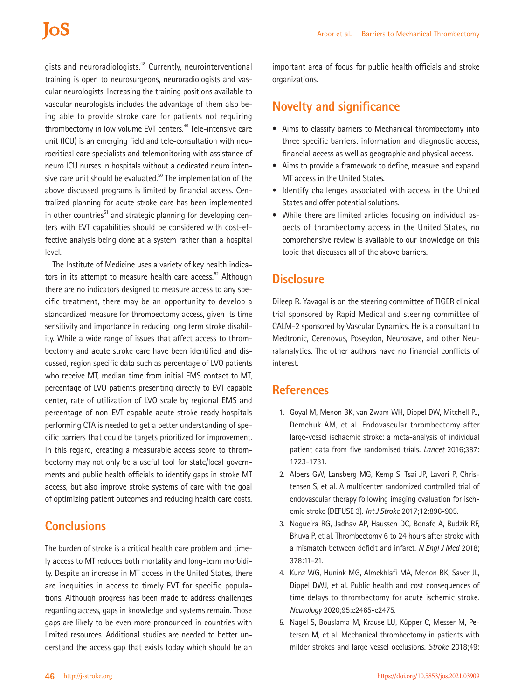gists and neuroradiologists.<sup>48</sup> Currently, neurointerventional training is open to neurosurgeons, neuroradiologists and vascular neurologists. Increasing the training positions available to vascular neurologists includes the advantage of them also being able to provide stroke care for patients not requiring thrombectomy in low volume EVT centers.<sup>49</sup> Tele-intensive care unit (ICU) is an emerging field and tele-consultation with neurocritical care specialists and telemonitoring with assistance of neuro ICU nurses in hospitals without a dedicated neuro intensive care unit should be evaluated.<sup>50</sup> The implementation of the above discussed programs is limited by financial access. Centralized planning for acute stroke care has been implemented in other countries<sup>51</sup> and strategic planning for developing centers with EVT capabilities should be considered with cost-effective analysis being done at a system rather than a hospital level.

The Institute of Medicine uses a variety of key health indicators in its attempt to measure health care access.<sup>52</sup> Although there are no indicators designed to measure access to any specific treatment, there may be an opportunity to develop a standardized measure for thrombectomy access, given its time sensitivity and importance in reducing long term stroke disability. While a wide range of issues that affect access to thrombectomy and acute stroke care have been identified and discussed, region specific data such as percentage of LVO patients who receive MT, median time from initial EMS contact to MT, percentage of LVO patients presenting directly to EVT capable center, rate of utilization of LVO scale by regional EMS and percentage of non-EVT capable acute stroke ready hospitals performing CTA is needed to get a better understanding of specific barriers that could be targets prioritized for improvement. In this regard, creating a measurable access score to thrombectomy may not only be a useful tool for state/local governments and public health officials to identify gaps in stroke MT access, but also improve stroke systems of care with the goal of optimizing patient outcomes and reducing health care costs.

## **Conclusions**

The burden of stroke is a critical health care problem and timely access to MT reduces both mortality and long-term morbidity. Despite an increase in MT access in the United States, there are inequities in access to timely EVT for specific populations. Although progress has been made to address challenges regarding access, gaps in knowledge and systems remain. Those gaps are likely to be even more pronounced in countries with limited resources. Additional studies are needed to better understand the access gap that exists today which should be an

important area of focus for public health officials and stroke organizations.

## **Novelty and significance**

- Aims to classify barriers to Mechanical thrombectomy into three specific barriers: information and diagnostic access, financial access as well as geographic and physical access.
- Aims to provide a framework to define, measure and expand MT access in the United States.
- Identify challenges associated with access in the United States and offer potential solutions.
- While there are limited articles focusing on individual aspects of thrombectomy access in the United States, no comprehensive review is available to our knowledge on this topic that discusses all of the above barriers.

### **Disclosure**

Dileep R. Yavagal is on the steering committee of TIGER clinical trial sponsored by Rapid Medical and steering committee of CALM-2 sponsored by Vascular Dynamics. He is a consultant to Medtronic, Cerenovus, Poseydon, Neurosave, and other Neuralanalytics. The other authors have no financial conflicts of interest.

### **References**

- 1. Goyal M, Menon BK, van Zwam WH, Dippel DW, Mitchell PJ, Demchuk AM, et al. Endovascular thrombectomy after large-vessel ischaemic stroke: a meta-analysis of individual patient data from five randomised trials. *Lancet* 2016;387: 1723-1731.
- 2. Albers GW, Lansberg MG, Kemp S, Tsai JP, Lavori P, Christensen S, et al. A multicenter randomized controlled trial of endovascular therapy following imaging evaluation for ischemic stroke (DEFUSE 3). *Int J Stroke* 2017;12:896-905.
- 3. Nogueira RG, Jadhav AP, Haussen DC, Bonafe A, Budzik RF, Bhuva P, et al. Thrombectomy 6 to 24 hours after stroke with a mismatch between deficit and infarct. *N Engl J Med* 2018; 378:11-21.
- 4. Kunz WG, Hunink MG, Almekhlafi MA, Menon BK, Saver JL, Dippel DWJ, et al. Public health and cost consequences of time delays to thrombectomy for acute ischemic stroke. *Neurology* 2020;95:e2465-e2475.
- 5. Nagel S, Bouslama M, Krause LU, Küpper C, Messer M, Petersen M, et al. Mechanical thrombectomy in patients with milder strokes and large vessel occlusions. *Stroke* 2018;49: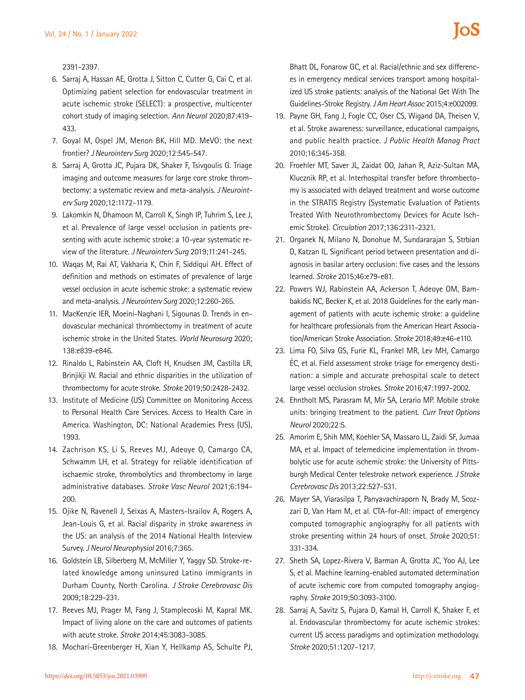2391-2397.

- 6. Sarraj A, Hassan AE, Grotta J, Sitton C, Cutter G, Cai C, et al. Optimizing patient selection for endovascular treatment in acute ischemic stroke (SELECT): a prospective, multicenter cohort study of imaging selection. *Ann Neurol* 2020;87:419- 433.
- 7. Goyal M, Ospel JM, Menon BK, Hill MD. MeVO: the next frontier? *J Neurointerv Surg* 2020;12:545-547.
- 8. Sarraj A, Grotta JC, Pujara DK, Shaker F, Tsivgoulis G. Triage imaging and outcome measures for large core stroke thrombectomy: a systematic review and meta-analysis. *J Neurointerv Surg* 2020;12:1172-1179.
- 9. Lakomkin N, Dhamoon M, Carroll K, Singh IP, Tuhrim S, Lee J, et al. Prevalence of large vessel occlusion in patients presenting with acute ischemic stroke: a 10-year systematic review of the literature. *J Neurointerv Surg* 2019;11:241-245.
- 10. Waqas M, Rai AT, Vakharia K, Chin F, Siddiqui AH. Effect of definition and methods on estimates of prevalence of large vessel occlusion in acute ischemic stroke: a systematic review and meta-analysis. *J Neurointerv Surg* 2020;12:260-265.
- 11. MacKenzie IER, Moeini-Naghani I, Sigounas D. Trends in endovascular mechanical thrombectomy in treatment of acute ischemic stroke in the United States. *World Neurosurg* 2020; 138:e839-e846.
- 12. Rinaldo L, Rabinstein AA, Cloft H, Knudsen JM, Castilla LR, Brinjikji W. Racial and ethnic disparities in the utilization of thrombectomy for acute stroke. *Stroke* 2019;50:2428-2432.
- 13. Institute of Medicine (US) Committee on Monitoring Access to Personal Health Care Services. Access to Health Care in America. Washington, DC: National Academies Press (US), 1993.
- 14. Zachrison KS, Li S, Reeves MJ, Adeoye O, Camargo CA, Schwamm LH, et al. Strategy for reliable identification of ischaemic stroke, thrombolytics and thrombectomy in large administrative databases. *Stroke Vasc Neurol* 2021;6:194- 200.
- 15. Ojike N, Ravenell J, Seixas A, Masters-Israilov A, Rogers A, Jean-Louis G, et al. Racial disparity in stroke awareness in the US: an analysis of the 2014 National Health Interview Survey. *J Neurol Neurophysiol* 2016;7:365.
- 16. Goldstein LB, Silberberg M, McMiller Y, Yaggy SD. Stroke-related knowledge among uninsured Latino immigrants in Durham County, North Carolina. *J Stroke Cerebrovasc Dis* 2009;18:229-231.
- 17. Reeves MJ, Prager M, Fang J, Stamplecoski M, Kapral MK. Impact of living alone on the care and outcomes of patients with acute stroke. *Stroke* 2014;45:3083-3085.
- 18. Mochari-Greenberger H, Xian Y, Hellkamp AS, Schulte PJ,

Bhatt DL, Fonarow GC, et al. Racial/ethnic and sex differences in emergency medical services transport among hospitalized US stroke patients: analysis of the National Get With The Guidelines-Stroke Registry. *J Am Heart Assoc* 2015;4:e002099.

- 19. Payne GH, Fang J, Fogle CC, Oser CS, Wigand DA, Theisen V, et al. Stroke awareness: surveillance, educational campaigns, and public health practice. *J Public Health Manag Pract* 2010;16:345-358.
- 20. Froehler MT, Saver JL, Zaidat OO, Jahan R, Aziz-Sultan MA, Klucznik RP, et al. Interhospital transfer before thrombectomy is associated with delayed treatment and worse outcome in the STRATIS Registry (Systematic Evaluation of Patients Treated With Neurothrombectomy Devices for Acute Ischemic Stroke). *Circulation* 2017;136:2311-2321.
- 21. Organek N, Milano N, Donohue M, Sundararajan S, Strbian D, Katzan IL. Significant period between presentation and diagnosis in basilar artery occlusion: five cases and the lessons learned. *Stroke* 2015;46:e79-e81.
- 22. Powers WJ, Rabinstein AA, Ackerson T, Adeoye OM, Bambakidis NC, Becker K, et al. 2018 Guidelines for the early management of patients with acute ischemic stroke: a guideline for healthcare professionals from the American Heart Association/American Stroke Association. *Stroke* 2018;49:e46-e110.
- 23. Lima FO, Silva GS, Furie KL, Frankel MR, Lev MH, Camargo ÉC, et al. Field assessment stroke triage for emergency destination: a simple and accurate prehospital scale to detect large vessel occlusion strokes. *Stroke* 2016;47:1997-2002.
- 24. Ehntholt MS, Parasram M, Mir SA, Lerario MP. Mobile stroke units: bringing treatment to the patient. *Curr Treat Options Neurol* 2020;22:5.
- 25. Amorim E, Shih MM, Koehler SA, Massaro LL, Zaidi SF, Jumaa MA, et al. Impact of telemedicine implementation in thrombolytic use for acute ischemic stroke: the University of Pittsburgh Medical Center telestroke network experience. *J Stroke Cerebrovasc Dis* 2013;22:527-531.
- 26. Mayer SA, Viarasilpa T, Panyavachiraporn N, Brady M, Scozzari D, Van Harn M, et al. CTA-for-All: impact of emergency computed tomographic angiography for all patients with stroke presenting within 24 hours of onset. *Stroke* 2020;51: 331-334.
- 27. Sheth SA, Lopez-Rivera V, Barman A, Grotta JC, Yoo AJ, Lee S, et al. Machine learning-enabled automated determination of acute ischemic core from computed tomography angiography. *Stroke* 2019;50:3093-3100.
- 28. Sarraj A, Savitz S, Pujara D, Kamal H, Carroll K, Shaker F, et al. Endovascular thrombectomy for acute ischemic strokes: current US access paradigms and optimization methodology. *Stroke* 2020;51:1207-1217.